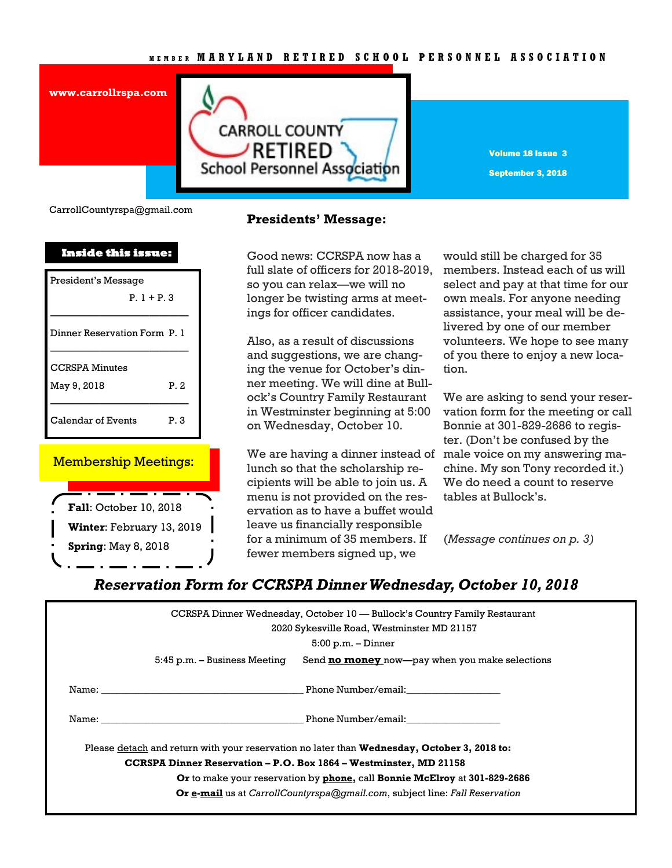### **M E M B E R M A R Y L A N D R E T I R E D S C H O O L P E R S O N N E L A S S O C I A T I O N**



Volume 18 Issue 3 September 3, 2018

CarrollCountyrspa@gmail.com

**www.carrollrspa.com** 

| <b>Inside this issue:</b>    |      |
|------------------------------|------|
| President's Message          |      |
| $P. 1 + P. 3$                |      |
| Dinner Reservation Form P. 1 |      |
| <b>CCRSPA Minutes</b>        |      |
| May 9, 2018                  | P.2  |
| Calendar of Events           | P. 3 |

### Membership Meetings:



## **Presidents' Message:**

Good news: CCRSPA now has a full slate of officers for 2018-2019, so you can relax—we will no longer be twisting arms at meetings for officer candidates.

Also, as a result of discussions and suggestions, we are changing the venue for October's dinner meeting. We will dine at Bullock's Country Family Restaurant in Westminster beginning at 5:00 on Wednesday, October 10.

We are having a dinner instead of male voice on my answering malunch so that the scholarship recipients will be able to join us. A menu is not provided on the reservation as to have a buffet would leave us financially responsible for a minimum of 35 members. If fewer members signed up, we

would still be charged for 35 members. Instead each of us will select and pay at that time for our own meals. For anyone needing assistance, your meal will be delivered by one of our member volunteers. We hope to see many of you there to enjoy a new location.

We are asking to send your reservation form for the meeting or call Bonnie at 301-829-2686 to register. (Don't be confused by the chine. My son Tony recorded it.) We do need a count to reserve tables at Bullock's.

(*Message continues on p. 3)*

# *Reservation Form for CCRSPA Dinner Wednesday, October 10, 2018*

|                                                                           | CCRSPA Dinner Wednesday, October 10 — Bullock's Country Family Restaurant<br>2020 Sykesville Road, Westminster MD 21157                                                                                                                               |
|---------------------------------------------------------------------------|-------------------------------------------------------------------------------------------------------------------------------------------------------------------------------------------------------------------------------------------------------|
|                                                                           | $5:00$ p.m. $-$ Dinner                                                                                                                                                                                                                                |
|                                                                           | Send <b>no money</b> now—pay when you make selections<br>5:45 p.m. – Business Meeting                                                                                                                                                                 |
|                                                                           | Phone Number/email:<br>Name: when the contract of the contract of the contract of the contract of the contract of the contract of the                                                                                                                 |
|                                                                           | Phone Number/email:<br>Name: when the contract of the contract of the contract of the contract of the contract of the contract of the contract of the contract of the contract of the contract of the contract of the contract of the contract of the |
|                                                                           | Please detach and return with your reservation no later than Wednesday, October 3, 2018 to:                                                                                                                                                           |
|                                                                           | <b>CCRSPA Dinner Reservation - P.O. Box 1864 - Westminster, MD 21158</b>                                                                                                                                                                              |
| Or to make your reservation by phone, call Bonnie McElroy at 301-829-2686 |                                                                                                                                                                                                                                                       |
|                                                                           | Or e-mail us at CarrollCountyrspa@gmail.com, subject line: Fall Reservation                                                                                                                                                                           |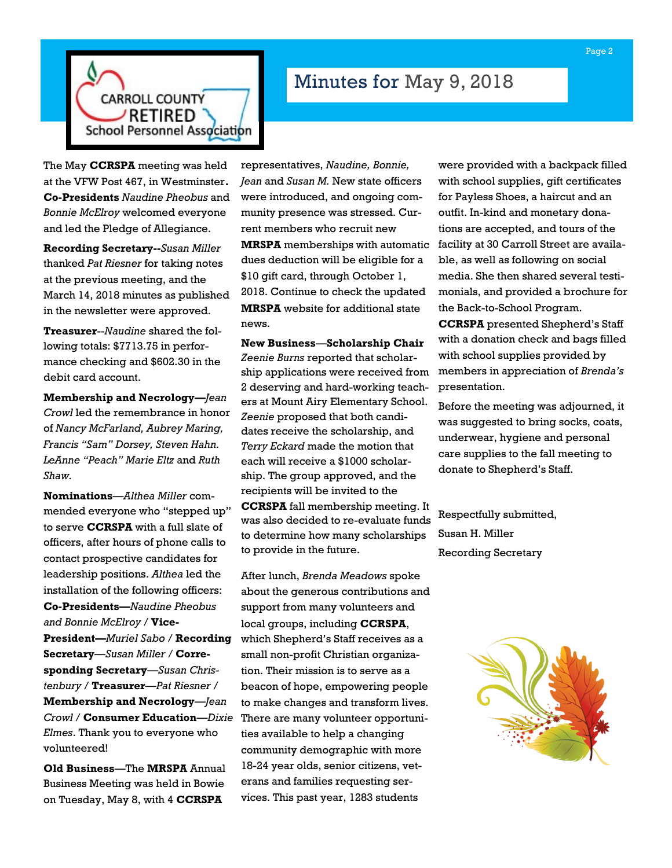

# Minutes for May 9, 2018

The May **CCRSPA** meeting was held at the VFW Post 467, in Westminster**. Co-Presidents** *Naudine Pheobus* and *Bonnie McElroy* welcomed everyone and led the Pledge of Allegiance.

**Recording Secretary--***Susan Miller* thanked *Pat Riesner* for taking notes at the previous meeting, and the March 14, 2018 minutes as published in the newsletter were approved.

**Treasurer**--*Naudine* shared the following totals: \$7713.75 in performance checking and \$602.30 in the debit card account.

**Membership and Necrology—***Jean Crowl* led the remembrance in honor of *Nancy McFarland, Aubrey Maring, Francis "Sam" Dorsey, Steven Hahn. LeAnne "Peach" Marie Eltz* and *Ruth Shaw.*

**Nominations**—*Althea Miller* commended everyone who "stepped up" to serve **CCRSPA** with a full slate of officers, after hours of phone calls to contact prospective candidates for leadership positions. *Althea* led the installation of the following officers: **Co-Presidents—***Naudine Pheobus and Bonnie McElroy* / **Vice-President—***Muriel Sabo* / **Recording Secretary**—*Susan Miller* / **Corresponding Secretary**—*Susan Christenbury* / **Treasurer**—*Pat Riesner* / **Membership and Necrology**—*Jean Crowl* / **Consumer Education**—*Dixie Elmes*. Thank you to everyone who volunteered!

**Old Business**—The **MRSPA** Annual Business Meeting was held in Bowie on Tuesday, May 8, with 4 **CCRSPA** 

representatives, *Naudine, Bonnie, Jean* and *Susan M.* New state officers were introduced, and ongoing community presence was stressed. Current members who recruit new

**MRSPA** memberships with automatic dues deduction will be eligible for a \$10 gift card, through October 1, 2018. Continue to check the updated **MRSPA** website for additional state news.

**New Business**—**Scholarship Chair**  *Zeenie Burns* reported that scholarship applications were received from 2 deserving and hard-working teachers at Mount Airy Elementary School. *Zeenie* proposed that both candidates receive the scholarship, and *Terry Eckard* made the motion that each will receive a \$1000 scholarship. The group approved, and the recipients will be invited to the **CCRSPA** fall membership meeting. It was also decided to re-evaluate funds to determine how many scholarships to provide in the future.

After lunch, *Brenda Meadows* spoke about the generous contributions and support from many volunteers and local groups, including **CCRSPA**, which Shepherd's Staff receives as a small non-profit Christian organization. Their mission is to serve as a beacon of hope, empowering people to make changes and transform lives. There are many volunteer opportunities available to help a changing community demographic with more 18-24 year olds, senior citizens, veterans and families requesting services. This past year, 1283 students

were provided with a backpack filled with school supplies, gift certificates for Payless Shoes, a haircut and an outfit. In-kind and monetary donations are accepted, and tours of the facility at 30 Carroll Street are available, as well as following on social media. She then shared several testimonials, and provided a brochure for the Back-to-School Program.

**CCRSPA** presented Shepherd's Staff with a donation check and bags filled with school supplies provided by members in appreciation of *Brenda's* presentation.

Before the meeting was adjourned, it was suggested to bring socks, coats, underwear, hygiene and personal care supplies to the fall meeting to donate to Shepherd's Staff.

Respectfully submitted, Susan H. Miller Recording Secretary

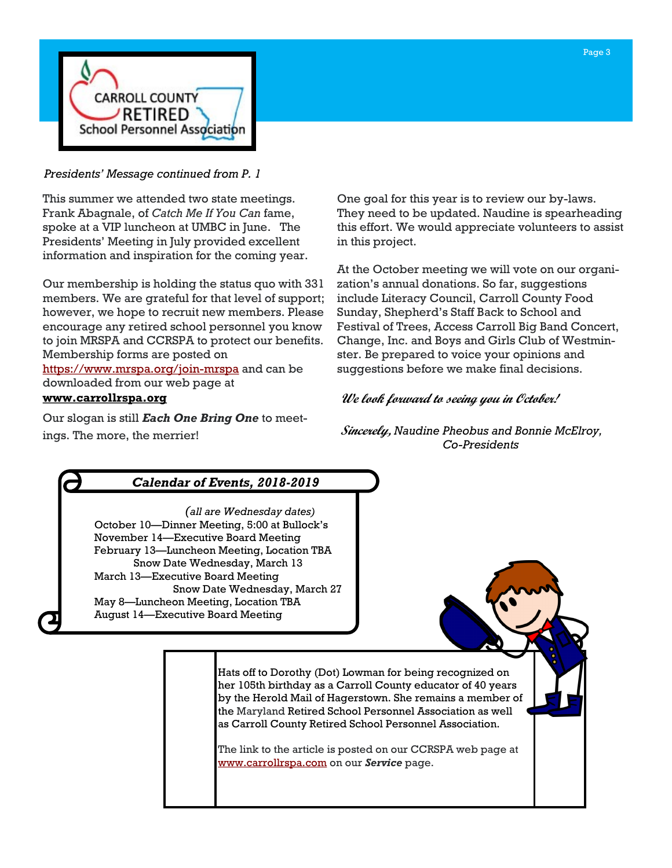

## *Presidents' Message continued from P. 1*

This summer we attended two state meetings. Frank Abagnale, of *Catch Me If You Can* fame, spoke at a VIP luncheon at UMBC in June. The Presidents' Meeting in July provided excellent information and inspiration for the coming year.

Our membership is holding the status quo with 331 members. We are grateful for that level of support; however, we hope to recruit new members. Please encourage any retired school personnel you know to join MRSPA and CCRSPA to protect our benefits. Membership forms are posted on

<https://www.mrspa.org/join-mrspa> and can be downloaded from our web page at

## **[www.carrollrspa.org](http://www.carrollrspa.org/)**

Our slogan is still *Each One Bring One* to meetings. The more, the merrier!

One goal for this year is to review our by-laws. They need to be updated. Naudine is spearheading this effort. We would appreciate volunteers to assist in this project.

At the October meeting we will vote on our organization's annual donations. So far, suggestions include Literacy Council, Carroll County Food Sunday, Shepherd's Staff Back to School and Festival of Trees, Access Carroll Big Band Concert, Change, Inc. and Boys and Girls Club of Westminster. Be prepared to voice your opinions and suggestions before we make final decisions.

# **We look forward to seeing you in October!**

**Sincerely,** *Naudine Pheobus and Bonnie McElroy, Co-Presidents*

# *Calendar of Events, 2018-2019*

*(all are Wednesday dates)* October 10—Dinner Meeting, 5:00 at Bullock's November 14—Executive Board Meeting February 13—Luncheon Meeting, Location TBA Snow Date Wednesday, March 13 March 13—Executive Board Meeting Snow Date Wednesday, March 27 May 8—Luncheon Meeting, Location TBA August 14—Executive Board Meeting

> Hats off to Dorothy (Dot) Lowman for being recognized on her 105th birthday as a Carroll County educator of 40 years by the Herold Mail of Hagerstown. She remains a member of the Maryland Retired School Personnel Association as well as Carroll County Retired School Personnel Association.

The link to the article is posted on our CCRSPA web page at [www.carrollrspa.com](http://www.carrollrspa.com) on our *Service* page.